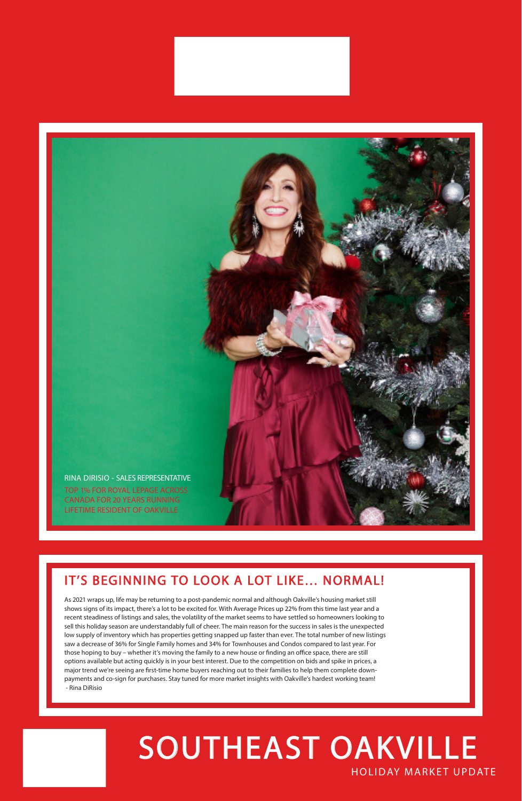## HOLIDAY MARKET UPDATE SOUTHEAST OAKVILLE

## IT'S BEGINNING TO LOOK A LOT LIKE… NORMAL!

As 2021 wraps up, life may be returning to a post-pandemic normal and although Oakville's housing market still

shows signs of its impact, there's a lot to be excited for. With Average Prices up 22% from this time last year and a recent steadiness of listings and sales, the volatility of the market seems to have settled so homeowners looking to sell this holiday season are understandably full of cheer. The main reason for the success in sales is the unexpected low supply of inventory which has properties getting snapped up faster than ever. The total number of new listings saw a decrease of 36% for Single Family homes and 34% for Townhouses and Condos compared to last year. For those hoping to buy – whether it's moving the family to a new house or finding an office space, there are still options available but acting quickly is in your best interest. Due to the competition on bids and spike in prices, a major trend we're seeing are first-time home buyers reaching out to their families to help them complete downpayments and co-sign for purchases. Stay tuned for more market insights with Oakville's hardest working team! - Rina DiRisio